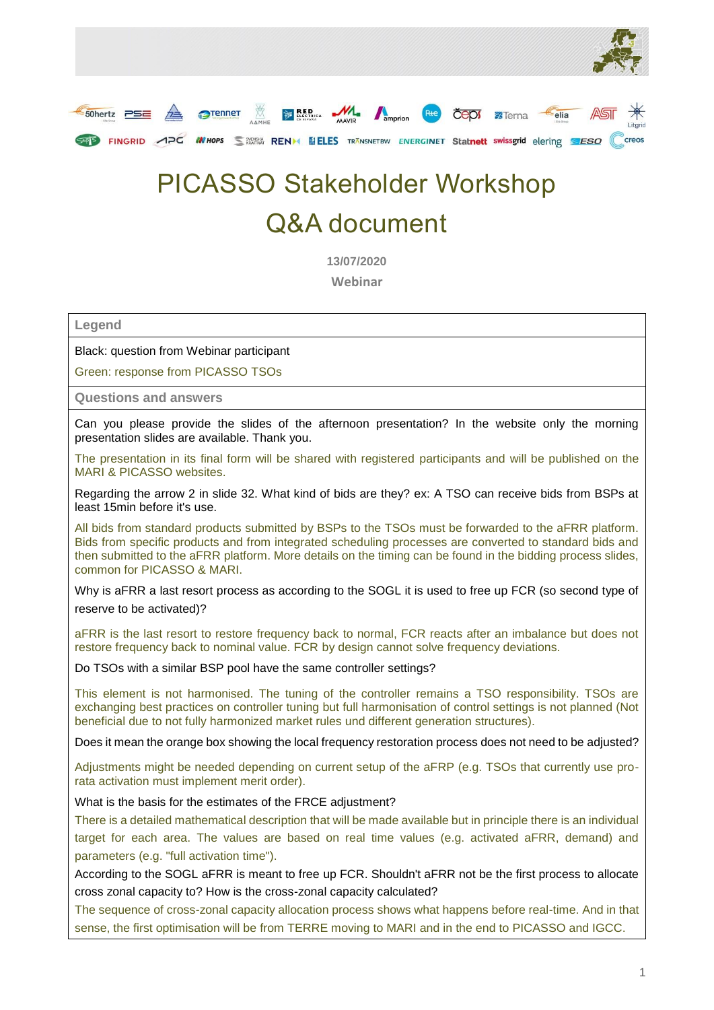



## PICASSO Stakeholder Workshop Q&A document

**13/07/2020 Webinar**

**Legend**

Black: question from Webinar participant

Green: response from PICASSO TSOs

**Questions and answers** 

Can you please provide the slides of the afternoon presentation? In the website only the morning presentation slides are available. Thank you.

The presentation in its final form will be shared with registered participants and will be published on the MARI & PICASSO websites.

Regarding the arrow 2 in slide 32. What kind of bids are they? ex: A TSO can receive bids from BSPs at least 15min before it's use.

All bids from standard products submitted by BSPs to the TSOs must be forwarded to the aFRR platform. Bids from specific products and from integrated scheduling processes are converted to standard bids and then submitted to the aFRR platform. More details on the timing can be found in the bidding process slides, common for PICASSO & MARI.

Why is aFRR a last resort process as according to the SOGL it is used to free up FCR (so second type of reserve to be activated)?

aFRR is the last resort to restore frequency back to normal, FCR reacts after an imbalance but does not restore frequency back to nominal value. FCR by design cannot solve frequency deviations.

Do TSOs with a similar BSP pool have the same controller settings?

This element is not harmonised. The tuning of the controller remains a TSO responsibility. TSOs are exchanging best practices on controller tuning but full harmonisation of control settings is not planned (Not beneficial due to not fully harmonized market rules und different generation structures).

Does it mean the orange box showing the local frequency restoration process does not need to be adjusted?

Adjustments might be needed depending on current setup of the aFRP (e.g. TSOs that currently use prorata activation must implement merit order).

What is the basis for the estimates of the FRCE adjustment?

There is a detailed mathematical description that will be made available but in principle there is an individual target for each area. The values are based on real time values (e.g. activated aFRR, demand) and parameters (e.g. "full activation time").

According to the SOGL aFRR is meant to free up FCR. Shouldn't aFRR not be the first process to allocate cross zonal capacity to? How is the cross-zonal capacity calculated?

The sequence of cross-zonal capacity allocation process shows what happens before real-time. And in that sense, the first optimisation will be from TERRE moving to MARI and in the end to PICASSO and IGCC.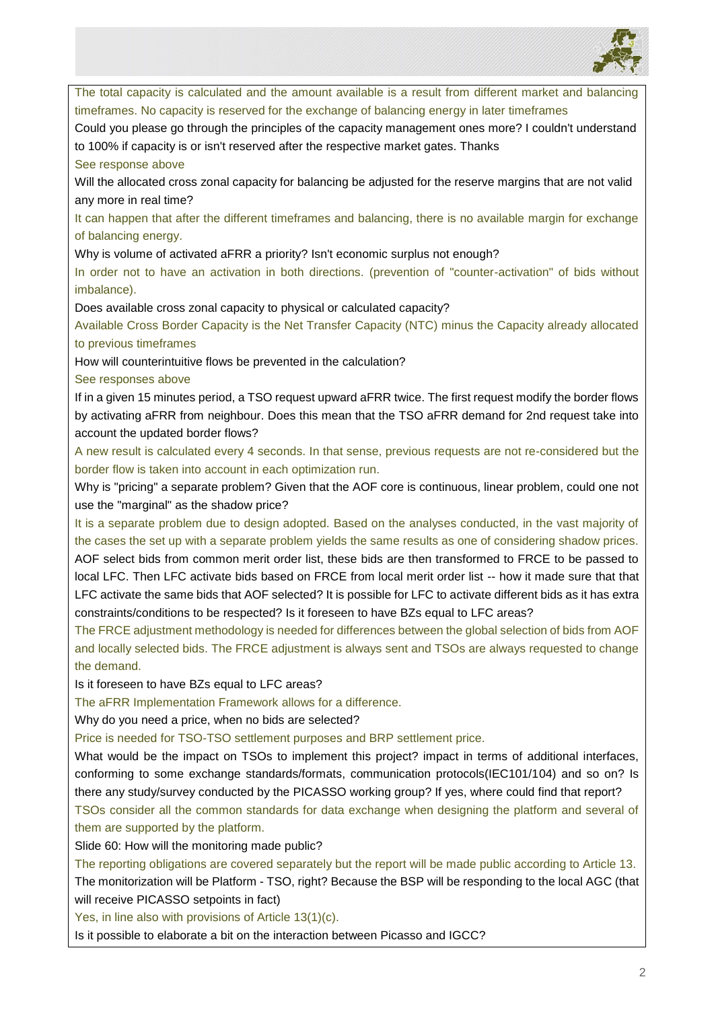

The total capacity is calculated and the amount available is a result from different market and balancing timeframes. No capacity is reserved for the exchange of balancing energy in later timeframes

Could you please go through the principles of the capacity management ones more? I couldn't understand to 100% if capacity is or isn't reserved after the respective market gates. Thanks

See response above

Will the allocated cross zonal capacity for balancing be adjusted for the reserve margins that are not valid any more in real time?

It can happen that after the different timeframes and balancing, there is no available margin for exchange of balancing energy.

Why is volume of activated aFRR a priority? Isn't economic surplus not enough?

In order not to have an activation in both directions. (prevention of "counter-activation" of bids without imbalance).

Does available cross zonal capacity to physical or calculated capacity?

Available Cross Border Capacity is the Net Transfer Capacity (NTC) minus the Capacity already allocated to previous timeframes

How will counterintuitive flows be prevented in the calculation?

See responses above

If in a given 15 minutes period, a TSO request upward aFRR twice. The first request modify the border flows by activating aFRR from neighbour. Does this mean that the TSO aFRR demand for 2nd request take into account the updated border flows?

A new result is calculated every 4 seconds. In that sense, previous requests are not re-considered but the border flow is taken into account in each optimization run.

Why is "pricing" a separate problem? Given that the AOF core is continuous, linear problem, could one not use the "marginal" as the shadow price?

It is a separate problem due to design adopted. Based on the analyses conducted, in the vast majority of the cases the set up with a separate problem yields the same results as one of considering shadow prices. AOF select bids from common merit order list, these bids are then transformed to FRCE to be passed to local LFC. Then LFC activate bids based on FRCE from local merit order list -- how it made sure that that LFC activate the same bids that AOF selected? It is possible for LFC to activate different bids as it has extra constraints/conditions to be respected? Is it foreseen to have BZs equal to LFC areas?

The FRCE adjustment methodology is needed for differences between the global selection of bids from AOF and locally selected bids. The FRCE adjustment is always sent and TSOs are always requested to change the demand.

Is it foreseen to have BZs equal to LFC areas?

The aFRR Implementation Framework allows for a difference.

Why do you need a price, when no bids are selected?

Price is needed for TSO-TSO settlement purposes and BRP settlement price.

What would be the impact on TSOs to implement this project? impact in terms of additional interfaces, conforming to some exchange standards/formats, communication protocols(IEC101/104) and so on? Is there any study/survey conducted by the PICASSO working group? If yes, where could find that report? TSOs consider all the common standards for data exchange when designing the platform and several of them are supported by the platform.

Slide 60: How will the monitoring made public?

The reporting obligations are covered separately but the report will be made public according to Article 13. The monitorization will be Platform - TSO, right? Because the BSP will be responding to the local AGC (that will receive PICASSO setpoints in fact)

Yes, in line also with provisions of Article 13(1)(c).

Is it possible to elaborate a bit on the interaction between Picasso and IGCC?